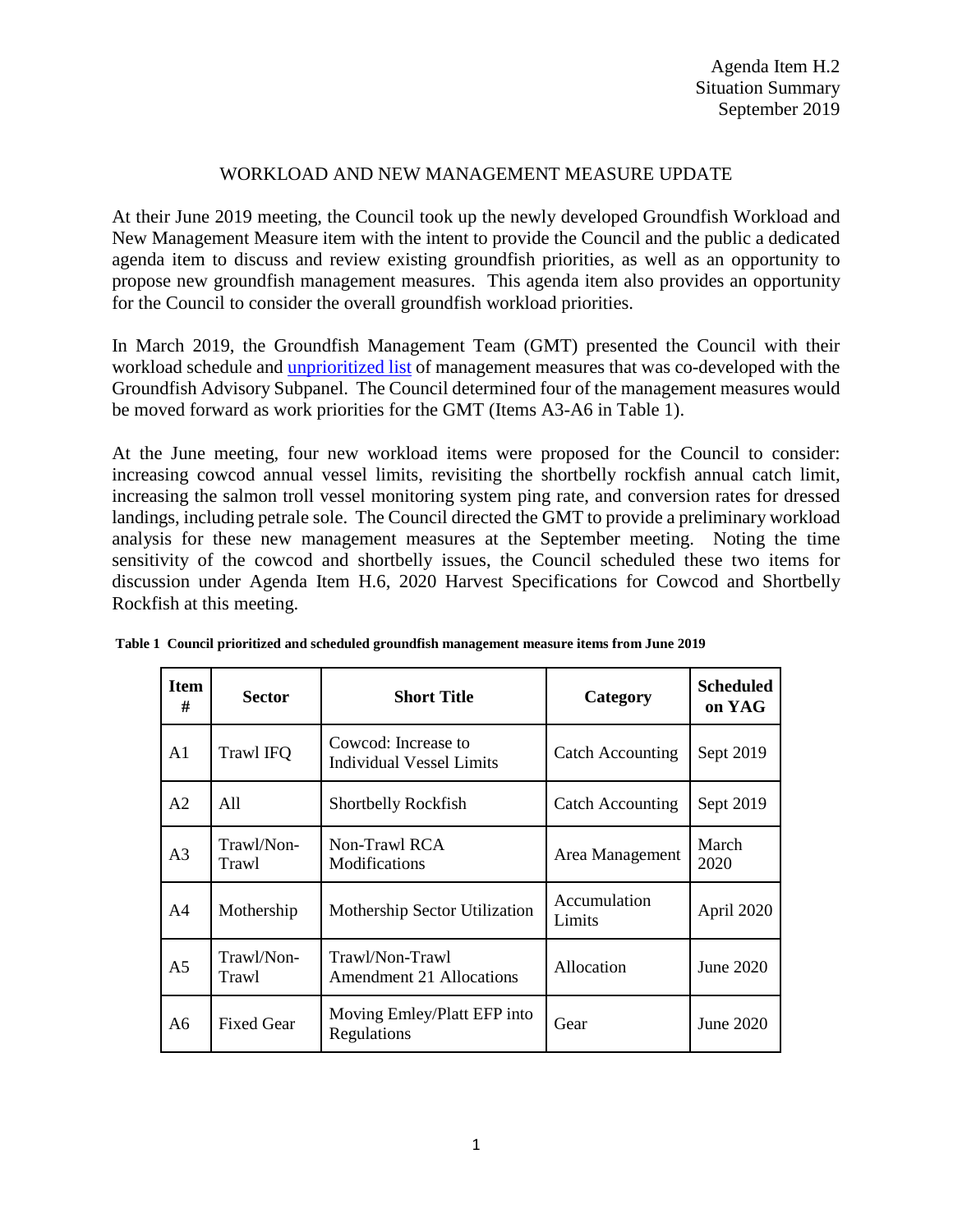#### WORKLOAD AND NEW MANAGEMENT MEASURE UPDATE

At their June 2019 meeting, the Council took up the newly developed Groundfish Workload and New Management Measure item with the intent to provide the Council and the public a dedicated agenda item to discuss and review existing groundfish priorities, as well as an opportunity to propose new groundfish management measures. This agenda item also provides an opportunity for the Council to consider the overall groundfish workload priorities.

In March 2019, the Groundfish Management Team (GMT) presented the Council with their workload schedule and [unprioritized list](https://www.pcouncil.org/wp-content/uploads/2019/02/G4a_GMT_Rpt1_Prioritization.pdf) of management measures that was co-developed with the Groundfish Advisory Subpanel. The Council determined four of the management measures would be moved forward as work priorities for the GMT (Items A3-A6 in Table 1).

At the June meeting, four new workload items were proposed for the Council to consider: increasing cowcod annual vessel limits, revisiting the shortbelly rockfish annual catch limit, increasing the salmon troll vessel monitoring system ping rate, and conversion rates for dressed landings, including petrale sole. The Council directed the GMT to provide a preliminary workload analysis for these new management measures at the September meeting. Noting the time sensitivity of the cowcod and shortbelly issues, the Council scheduled these two items for discussion under Agenda Item H.6, 2020 Harvest Specifications for Cowcod and Shortbelly Rockfish at this meeting.

| <b>Item</b><br># | <b>Sector</b>       | <b>Short Title</b>                                     | Category                | <b>Scheduled</b><br>on YAG |
|------------------|---------------------|--------------------------------------------------------|-------------------------|----------------------------|
| A <sub>1</sub>   | Trawl IFQ           | Cowcod: Increase to<br><b>Individual Vessel Limits</b> | <b>Catch Accounting</b> | Sept 2019                  |
| A <sub>2</sub>   | A11                 | Shortbelly Rockfish                                    | <b>Catch Accounting</b> | Sept 2019                  |
| A <sub>3</sub>   | Trawl/Non-<br>Trawl | Non-Trawl RCA<br>Modifications                         | Area Management         | March<br>2020              |
| A4               | Mothership          | Mothership Sector Utilization                          | Accumulation<br>Limits  | April 2020                 |
| A <sub>5</sub>   | Trawl/Non-<br>Trawl | Trawl/Non-Trawl<br>Amendment 21 Allocations            | Allocation              | June 2020                  |
| A6               | <b>Fixed Gear</b>   | Moving Emley/Platt EFP into<br>Regulations             | Gear                    | June 2020                  |

**Table 1 Council prioritized and scheduled groundfish management measure items from June 2019**